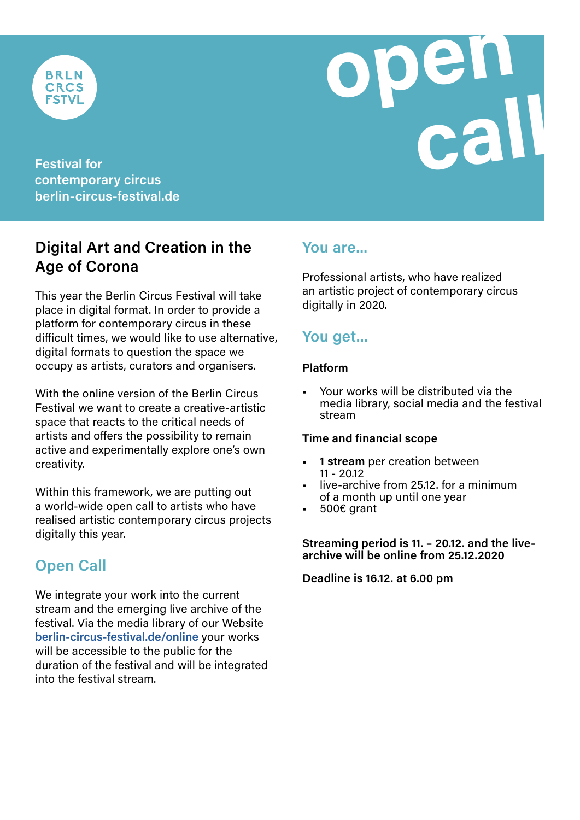



**contemporary circus berlin-circus-festival.de**

# **Digital Art and Creation in the Age of Corona**

This year the Berlin Circus Festival will take place in digital format. In order to provide a platform for contemporary circus in these difficult times, we would like to use alternative, digital formats to question the space we occupy as artists, curators and organisers.

With the online version of the Berlin Circus Festival we want to create a creative-artistic space that reacts to the critical needs of artists and offers the possibility to remain active and experimentally explore one's own creativity.

Within this framework, we are putting out a world-wide open call to artists who have realised artistic contemporary circus projects digitally this year.

## **Open Call**

We integrate your work into the current stream and the emerging live archive of the festival. Via the media library of our Website **[berlin-circus-festival.de/online](http://www.berlin-circus-festival.de/online-en)** your works will be accessible to the public for the duration of the festival and will be integrated into the festival stream.

## **You are...**

Professional artists, who have realized an artistic project of contemporary circus digitally in 2020.

# **You get...**

#### **Platform**

• Your works will be distributed via the media library, social media and the festival stream

#### **Time and financial scope**

- **1 stream** per creation between<br>11 20.12
- live-archive from 25.12, for a minimum of a month up until one year<br>500€ grant
- 

**Streaming period is 11. – 20.12. and the livearchive will be online from 25.12.2020**

**Deadline is 16.12. at 6.00 pm**